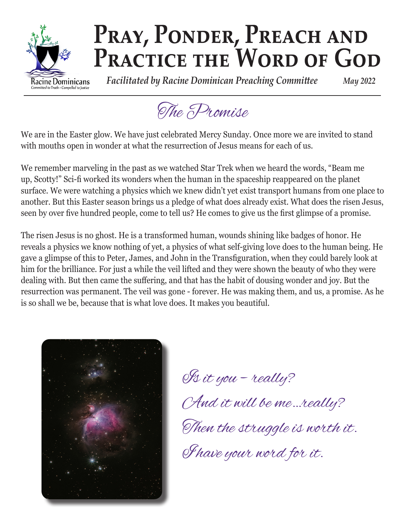

# PRAY, PONDER, PREACH AND PRACTICE THE WORD OF GOD

 *Facilitated by Racine Dominican Preaching Committee May 2022*

The Promise

We are in the Easter glow. We have just celebrated Mercy Sunday. Once more we are invited to stand with mouths open in wonder at what the resurrection of Jesus means for each of us.

We remember marveling in the past as we watched Star Trek when we heard the words, "Beam me up, Scotty!" Sci-fi worked its wonders when the human in the spaceship reappeared on the planet surface. We were watching a physics which we knew didn't yet exist transport humans from one place to another. But this Easter season brings us a pledge of what does already exist. What does the risen Jesus, seen by over five hundred people, come to tell us? He comes to give us the first glimpse of a promise.

The risen Jesus is no ghost. He is a transformed human, wounds shining like badges of honor. He reveals a physics we know nothing of yet, a physics of what self-giving love does to the human being. He gave a glimpse of this to Peter, James, and John in the Transfiguration, when they could barely look at him for the brilliance. For just a while the veil lifted and they were shown the beauty of who they were dealing with. But then came the suffering, and that has the habit of dousing wonder and joy. But the resurrection was permanent. The veil was gone - forever. He was making them, and us, a promise. As he is so shall we be, because that is what love does. It makes you beautiful.



Is it you – really? And it will be me…really? Then the struggle is worth it. I have your word for it.